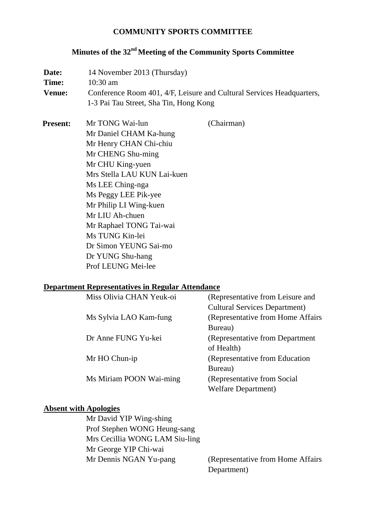## **COMMUNITY SPORTS COMMITTEE**

# **Minutes of the 32nd Meeting of the Community Sports Committee**

| Date:           | 14 November 2013 (Thursday)<br>$10:30$ am<br>Conference Room 401, 4/F, Leisure and Cultural Services Headquarters,<br>1-3 Pai Tau Street, Sha Tin, Hong Kong                                                                                                                                                                                          |            |  |
|-----------------|-------------------------------------------------------------------------------------------------------------------------------------------------------------------------------------------------------------------------------------------------------------------------------------------------------------------------------------------------------|------------|--|
| Time:           |                                                                                                                                                                                                                                                                                                                                                       |            |  |
| <b>Venue:</b>   |                                                                                                                                                                                                                                                                                                                                                       |            |  |
| <b>Present:</b> | Mr TONG Wai-lun<br>Mr Daniel CHAM Ka-hung<br>Mr Henry CHAN Chi-chiu<br>Mr CHENG Shu-ming<br>Mr CHU King-yuen<br>Mrs Stella LAU KUN Lai-kuen<br>Ms LEE Ching-nga<br>Ms Peggy LEE Pik-yee<br>Mr Philip LI Wing-kuen<br>Mr LIU Ah-chuen<br>Mr Raphael TONG Tai-wai<br>Ms TUNG Kin-lei<br>Dr Simon YEUNG Sai-mo<br>Dr YUNG Shu-hang<br>Prof LEUNG Mei-lee | (Chairman) |  |

### **Department Representatives in Regular Attendance**

| Miss Olivia CHAN Yeuk-oi | (Representative from Leisure and     |
|--------------------------|--------------------------------------|
|                          | <b>Cultural Services Department)</b> |
| Ms Sylvia LAO Kam-fung   | (Representative from Home Affairs)   |
|                          | Bureau)                              |
| Dr Anne FUNG Yu-kei      | (Representative from Department      |
|                          | of Health)                           |
| Mr HO Chun-ip            | (Representative from Education       |
|                          | Bureau)                              |
| Ms Miriam POON Wai-ming  | (Representative from Social          |
|                          | <b>Welfare Department</b> )          |

# **Absent with Apologies**

| Mr David YIP Wing-shing        |
|--------------------------------|
| Prof Stephen WONG Heung-sang   |
| Mrs Cecillia WONG LAM Siu-ling |
| Mr George YIP Chi-wai          |
| Mr Dennis NGAN Yu-pang         |
|                                |

(Representative from Home Affairs Department)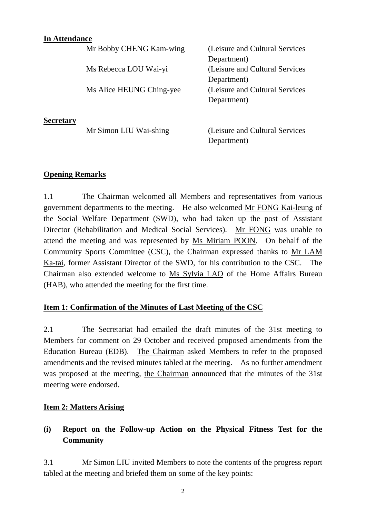### **In Attendance**

|                  | Mr Bobby CHENG Kam-wing  | (Leisure and Cultural Services  |
|------------------|--------------------------|---------------------------------|
|                  |                          | Department)                     |
|                  | Ms Rebecca LOU Wai-yi    | (Leisure and Cultural Services) |
|                  |                          | Department)                     |
|                  | Ms Alice HEUNG Ching-yee | (Leisure and Cultural Services) |
|                  |                          | Department)                     |
| <b>Secretary</b> |                          |                                 |
|                  | Mr Simon LIU Wai-shing   | (Leisure and Cultural Services) |

Department)

### **Opening Remarks**

1.1 The Chairman welcomed all Members and representatives from various government departments to the meeting. He also welcomed Mr FONG Kai-leung of the Social Welfare Department (SWD), who had taken up the post of Assistant Director (Rehabilitation and Medical Social Services). Mr FONG was unable to attend the meeting and was represented by Ms Miriam POON. On behalf of the Community Sports Committee (CSC), the Chairman expressed thanks to Mr LAM Ka-tai, former Assistant Director of the SWD, for his contribution to the CSC. The Chairman also extended welcome to Ms Sylvia LAO of the Home Affairs Bureau (HAB), who attended the meeting for the first time.

#### **Item 1: Confirmation of the Minutes of Last Meeting of the CSC**

2.1 The Secretariat had emailed the draft minutes of the 31st meeting to Members for comment on 29 October and received proposed amendments from the Education Bureau (EDB). The Chairman asked Members to refer to the proposed amendments and the revised minutes tabled at the meeting. As no further amendment was proposed at the meeting, the Chairman announced that the minutes of the 31st meeting were endorsed.

#### **Item 2: Matters Arising**

# **(i) Report on the Follow-up Action on the Physical Fitness Test for the Community**

3.1 Mr Simon LIU invited Members to note the contents of the progress report tabled at the meeting and briefed them on some of the key points: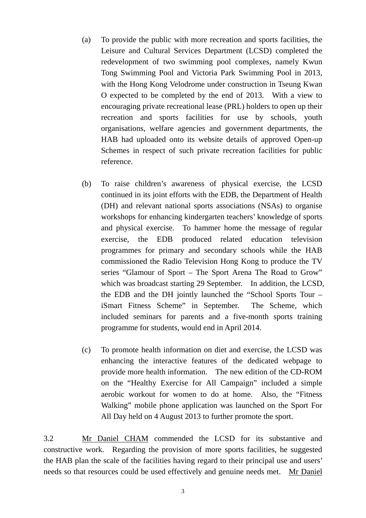- (a) To provide the public with more recreation and sports facilities, the Leisure and Cultural Services Department (LCSD) completed the redevelopment of two swimming pool complexes, namely Kwun Tong Swimming Pool and Victoria Park Swimming Pool in 2013, with the Hong Kong Velodrome under construction in Tseung Kwan O expected to be completed by the end of 2013. With a view to encouraging private recreational lease (PRL) holders to open up their recreation and sports facilities for use by schools, youth organisations, welfare agencies and government departments, the HAB had uploaded onto its website details of approved Open-up Schemes in respect of such private recreation facilities for public reference.
- (b) To raise children's awareness of physical exercise, the LCSD continued in its joint efforts with the EDB, the Department of Health (DH) and relevant national sports associations (NSAs) to organise workshops for enhancing kindergarten teachers' knowledge of sports and physical exercise. To hammer home the message of regular exercise, the EDB produced related education television programmes for primary and secondary schools while the HAB commissioned the Radio Television Hong Kong to produce the TV series "Glamour of Sport – The Sport Arena The Road to Grow" which was broadcast starting 29 September. In addition, the LCSD, the EDB and the DH jointly launched the "School Sports Tour – iSmart Fitness Scheme" in September. The Scheme, which included seminars for parents and a five-month sports training programme for students, would end in April 2014.
- (c) To promote health information on diet and exercise, the LCSD was enhancing the interactive features of the dedicated webpage to provide more health information. The new edition of the CD-ROM on the "Healthy Exercise for All Campaign" included a simple aerobic workout for women to do at home. Also, the "Fitness Walking" mobile phone application was launched on the Sport For All Day held on 4 August 2013 to further promote the sport.

3.2 Mr Daniel CHAM commended the LCSD for its substantive and constructive work. Regarding the provision of more sports facilities, he suggested the HAB plan the scale of the facilities having regard to their principal use and users' needs so that resources could be used effectively and genuine needs met. Mr Daniel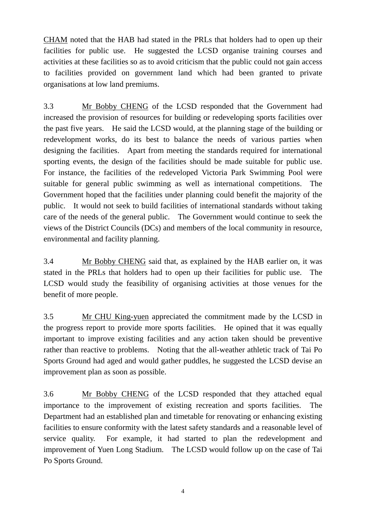CHAM noted that the HAB had stated in the PRLs that holders had to open up their facilities for public use. He suggested the LCSD organise training courses and activities at these facilities so as to avoid criticism that the public could not gain access to facilities provided on government land which had been granted to private organisations at low land premiums.

3.3 Mr Bobby CHENG of the LCSD responded that the Government had increased the provision of resources for building or redeveloping sports facilities over the past five years. He said the LCSD would, at the planning stage of the building or redevelopment works, do its best to balance the needs of various parties when designing the facilities. Apart from meeting the standards required for international sporting events, the design of the facilities should be made suitable for public use. For instance, the facilities of the redeveloped Victoria Park Swimming Pool were suitable for general public swimming as well as international competitions. The Government hoped that the facilities under planning could benefit the majority of the public. It would not seek to build facilities of international standards without taking care of the needs of the general public. The Government would continue to seek the views of the District Councils (DCs) and members of the local community in resource, environmental and facility planning.

3.4 Mr Bobby CHENG said that, as explained by the HAB earlier on, it was stated in the PRLs that holders had to open up their facilities for public use. The LCSD would study the feasibility of organising activities at those venues for the benefit of more people.

3.5 Mr CHU King-yuen appreciated the commitment made by the LCSD in the progress report to provide more sports facilities. He opined that it was equally important to improve existing facilities and any action taken should be preventive rather than reactive to problems. Noting that the all-weather athletic track of Tai Po Sports Ground had aged and would gather puddles, he suggested the LCSD devise an improvement plan as soon as possible.

3.6 Mr Bobby CHENG of the LCSD responded that they attached equal importance to the improvement of existing recreation and sports facilities. The Department had an established plan and timetable for renovating or enhancing existing facilities to ensure conformity with the latest safety standards and a reasonable level of service quality. For example, it had started to plan the redevelopment and improvement of Yuen Long Stadium. The LCSD would follow up on the case of Tai Po Sports Ground.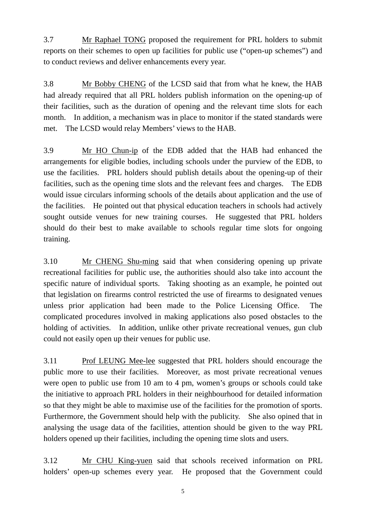3.7 Mr Raphael TONG proposed the requirement for PRL holders to submit reports on their schemes to open up facilities for public use ("open-up schemes") and to conduct reviews and deliver enhancements every year.

3.8 Mr Bobby CHENG of the LCSD said that from what he knew, the HAB had already required that all PRL holders publish information on the opening-up of their facilities, such as the duration of opening and the relevant time slots for each month. In addition, a mechanism was in place to monitor if the stated standards were met. The LCSD would relay Members' views to the HAB.

3.9 Mr HO Chun-ip of the EDB added that the HAB had enhanced the arrangements for eligible bodies, including schools under the purview of the EDB, to use the facilities. PRL holders should publish details about the opening-up of their facilities, such as the opening time slots and the relevant fees and charges. The EDB would issue circulars informing schools of the details about application and the use of the facilities. He pointed out that physical education teachers in schools had actively sought outside venues for new training courses. He suggested that PRL holders should do their best to make available to schools regular time slots for ongoing training.

3.10 Mr CHENG Shu-ming said that when considering opening up private recreational facilities for public use, the authorities should also take into account the specific nature of individual sports. Taking shooting as an example, he pointed out that legislation on firearms control restricted the use of firearms to designated venues unless prior application had been made to the Police Licensing Office. The complicated procedures involved in making applications also posed obstacles to the holding of activities. In addition, unlike other private recreational venues, gun club could not easily open up their venues for public use.

3.11 Prof LEUNG Mee-lee suggested that PRL holders should encourage the public more to use their facilities. Moreover, as most private recreational venues were open to public use from 10 am to 4 pm, women's groups or schools could take the initiative to approach PRL holders in their neighbourhood for detailed information so that they might be able to maximise use of the facilities for the promotion of sports. Furthermore, the Government should help with the publicity. She also opined that in analysing the usage data of the facilities, attention should be given to the way PRL holders opened up their facilities, including the opening time slots and users.

3.12 Mr CHU King-yuen said that schools received information on PRL holders' open-up schemes every year. He proposed that the Government could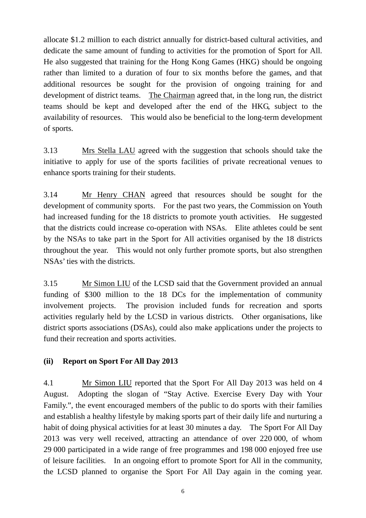allocate \$1.2 million to each district annually for district-based cultural activities, and dedicate the same amount of funding to activities for the promotion of Sport for All. He also suggested that training for the Hong Kong Games (HKG) should be ongoing rather than limited to a duration of four to six months before the games, and that additional resources be sought for the provision of ongoing training for and development of district teams. The Chairman agreed that, in the long run, the district teams should be kept and developed after the end of the HKG, subject to the availability of resources. This would also be beneficial to the long-term development of sports.

3.13 Mrs Stella LAU agreed with the suggestion that schools should take the initiative to apply for use of the sports facilities of private recreational venues to enhance sports training for their students.

3.14 Mr Henry CHAN agreed that resources should be sought for the development of community sports. For the past two years, the Commission on Youth had increased funding for the 18 districts to promote youth activities. He suggested that the districts could increase co-operation with NSAs. Elite athletes could be sent by the NSAs to take part in the Sport for All activities organised by the 18 districts throughout the year. This would not only further promote sports, but also strengthen NSAs' ties with the districts.

3.15 Mr Simon LIU of the LCSD said that the Government provided an annual funding of \$300 million to the 18 DCs for the implementation of community involvement projects. The provision included funds for recreation and sports activities regularly held by the LCSD in various districts. Other organisations, like district sports associations (DSAs), could also make applications under the projects to fund their recreation and sports activities.

# **(ii) Report on Sport For All Day 2013**

4.1 Mr Simon LIU reported that the Sport For All Day 2013 was held on 4 August. Adopting the slogan of "Stay Active. Exercise Every Day with Your Family.", the event encouraged members of the public to do sports with their families and establish a healthy lifestyle by making sports part of their daily life and nurturing a habit of doing physical activities for at least 30 minutes a day. The Sport For All Day 2013 was very well received, attracting an attendance of over 220 000, of whom 29 000 participated in a wide range of free programmes and 198 000 enjoyed free use of leisure facilities. In an ongoing effort to promote Sport for All in the community, the LCSD planned to organise the Sport For All Day again in the coming year.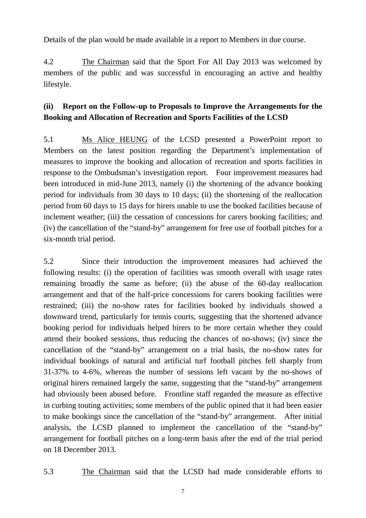Details of the plan would be made available in a report to Members in due course.

4.2 The Chairman said that the Sport For All Day 2013 was welcomed by members of the public and was successful in encouraging an active and healthy lifestyle.

# **(ii) Report on the Follow-up to Proposals to Improve the Arrangements for the Booking and Allocation of Recreation and Sports Facilities of the LCSD**

5.1 Ms Alice HEUNG of the LCSD presented a PowerPoint report to Members on the latest position regarding the Department's implementation of measures to improve the booking and allocation of recreation and sports facilities in response to the Ombudsman's investigation report. Four improvement measures had been introduced in mid-June 2013, namely (i) the shortening of the advance booking period for individuals from 30 days to 10 days; (ii) the shortening of the reallocation period from 60 days to 15 days for hirers unable to use the booked facilities because of inclement weather; (iii) the cessation of concessions for carers booking facilities; and (iv) the cancellation of the "stand-by" arrangement for free use of football pitches for a six-month trial period.

5.2 Since their introduction the improvement measures had achieved the following results: (i) the operation of facilities was smooth overall with usage rates remaining broadly the same as before; (ii) the abuse of the 60-day reallocation arrangement and that of the half-price concessions for carers booking facilities were restrained; (iii) the no-show rates for facilities booked by individuals showed a downward trend, particularly for tennis courts, suggesting that the shortened advance booking period for individuals helped hirers to be more certain whether they could attend their booked sessions, thus reducing the chances of no-shows; (iv) since the cancellation of the "stand-by" arrangement on a trial basis, the no-show rates for individual bookings of natural and artificial turf football pitches fell sharply from 31-37% to 4-6%, whereas the number of sessions left vacant by the no-shows of original hirers remained largely the same, suggesting that the "stand-by" arrangement had obviously been abused before. Frontline staff regarded the measure as effective in curbing touting activities; some members of the public opined that it had been easier to make bookings since the cancellation of the "stand-by" arrangement. After initial analysis, the LCSD planned to implement the cancellation of the "stand-by" arrangement for football pitches on a long-term basis after the end of the trial period on 18 December 2013.

5.3 The Chairman said that the LCSD had made considerable efforts to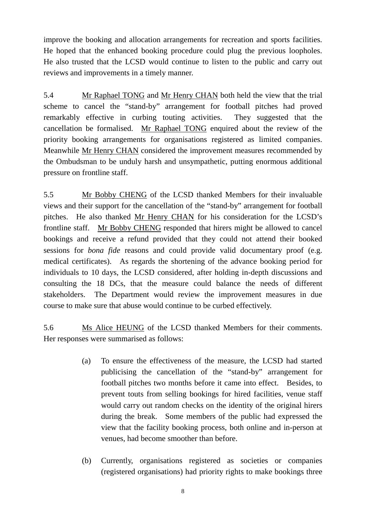improve the booking and allocation arrangements for recreation and sports facilities. He hoped that the enhanced booking procedure could plug the previous loopholes. He also trusted that the LCSD would continue to listen to the public and carry out reviews and improvements in a timely manner.

5.4 Mr Raphael TONG and Mr Henry CHAN both held the view that the trial scheme to cancel the "stand-by" arrangement for football pitches had proved remarkably effective in curbing touting activities. They suggested that the cancellation be formalised. Mr Raphael TONG enquired about the review of the priority booking arrangements for organisations registered as limited companies. Meanwhile Mr Henry CHAN considered the improvement measures recommended by the Ombudsman to be unduly harsh and unsympathetic, putting enormous additional pressure on frontline staff.

5.5 Mr Bobby CHENG of the LCSD thanked Members for their invaluable views and their support for the cancellation of the "stand-by" arrangement for football pitches. He also thanked Mr Henry CHAN for his consideration for the LCSD's frontline staff. Mr Bobby CHENG responded that hirers might be allowed to cancel bookings and receive a refund provided that they could not attend their booked sessions for *bona fide* reasons and could provide valid documentary proof (e.g. medical certificates). As regards the shortening of the advance booking period for individuals to 10 days, the LCSD considered, after holding in-depth discussions and consulting the 18 DCs, that the measure could balance the needs of different stakeholders. The Department would review the improvement measures in due course to make sure that abuse would continue to be curbed effectively.

5.6 Ms Alice HEUNG of the LCSD thanked Members for their comments. Her responses were summarised as follows:

- (a) To ensure the effectiveness of the measure, the LCSD had started publicising the cancellation of the "stand-by" arrangement for football pitches two months before it came into effect. Besides, to prevent touts from selling bookings for hired facilities, venue staff would carry out random checks on the identity of the original hirers during the break. Some members of the public had expressed the view that the facility booking process, both online and in-person at venues, had become smoother than before.
- (b) Currently, organisations registered as societies or companies (registered organisations) had priority rights to make bookings three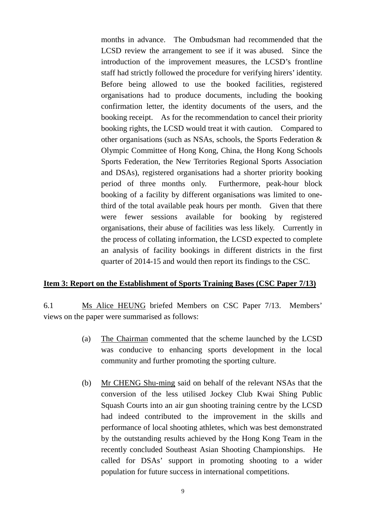months in advance. The Ombudsman had recommended that the LCSD review the arrangement to see if it was abused. Since the introduction of the improvement measures, the LCSD's frontline staff had strictly followed the procedure for verifying hirers' identity. Before being allowed to use the booked facilities, registered organisations had to produce documents, including the booking confirmation letter, the identity documents of the users, and the booking receipt. As for the recommendation to cancel their priority booking rights, the LCSD would treat it with caution. Compared to other organisations (such as NSAs, schools, the Sports Federation & Olympic Committee of Hong Kong, China, the Hong Kong Schools Sports Federation, the New Territories Regional Sports Association and DSAs), registered organisations had a shorter priority booking period of three months only. Furthermore, peak-hour block booking of a facility by different organisations was limited to onethird of the total available peak hours per month. Given that there were fewer sessions available for booking by registered organisations, their abuse of facilities was less likely. Currently in the process of collating information, the LCSD expected to complete an analysis of facility bookings in different districts in the first quarter of 2014-15 and would then report its findings to the CSC.

#### **Item 3: Report on the Establishment of Sports Training Bases (CSC Paper 7/13)**

6.1 Ms Alice HEUNG briefed Members on CSC Paper 7/13. Members' views on the paper were summarised as follows:

- (a) The Chairman commented that the scheme launched by the LCSD was conducive to enhancing sports development in the local community and further promoting the sporting culture.
- (b) Mr CHENG Shu-ming said on behalf of the relevant NSAs that the conversion of the less utilised Jockey Club Kwai Shing Public Squash Courts into an air gun shooting training centre by the LCSD had indeed contributed to the improvement in the skills and performance of local shooting athletes, which was best demonstrated by the outstanding results achieved by the Hong Kong Team in the recently concluded Southeast Asian Shooting Championships. He called for DSAs' support in promoting shooting to a wider population for future success in international competitions.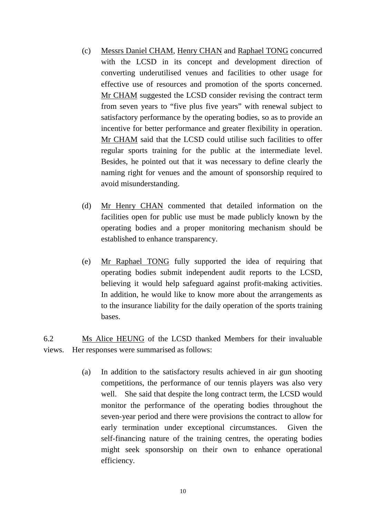- (c) Messrs Daniel CHAM, Henry CHAN and Raphael TONG concurred with the LCSD in its concept and development direction of converting underutilised venues and facilities to other usage for effective use of resources and promotion of the sports concerned. Mr CHAM suggested the LCSD consider revising the contract term from seven years to "five plus five years" with renewal subject to satisfactory performance by the operating bodies, so as to provide an incentive for better performance and greater flexibility in operation. Mr CHAM said that the LCSD could utilise such facilities to offer regular sports training for the public at the intermediate level. Besides, he pointed out that it was necessary to define clearly the naming right for venues and the amount of sponsorship required to avoid misunderstanding.
- (d) Mr Henry CHAN commented that detailed information on the facilities open for public use must be made publicly known by the operating bodies and a proper monitoring mechanism should be established to enhance transparency.
- (e) Mr Raphael TONG fully supported the idea of requiring that operating bodies submit independent audit reports to the LCSD, believing it would help safeguard against profit-making activities. In addition, he would like to know more about the arrangements as to the insurance liability for the daily operation of the sports training bases.

6.2 Ms Alice HEUNG of the LCSD thanked Members for their invaluable views. Her responses were summarised as follows:

> (a) In addition to the satisfactory results achieved in air gun shooting competitions, the performance of our tennis players was also very well. She said that despite the long contract term, the LCSD would monitor the performance of the operating bodies throughout the seven-year period and there were provisions the contract to allow for early termination under exceptional circumstances. Given the self-financing nature of the training centres, the operating bodies might seek sponsorship on their own to enhance operational efficiency.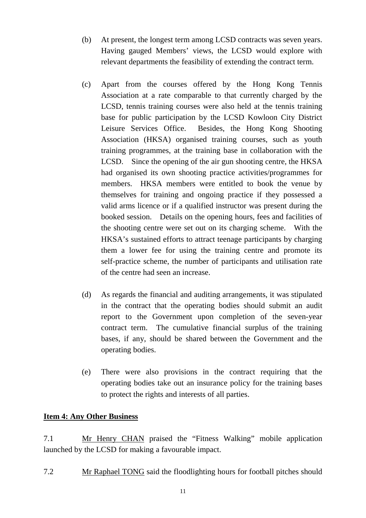- (b) At present, the longest term among LCSD contracts was seven years. Having gauged Members' views, the LCSD would explore with relevant departments the feasibility of extending the contract term.
- (c) Apart from the courses offered by the Hong Kong Tennis Association at a rate comparable to that currently charged by the LCSD, tennis training courses were also held at the tennis training base for public participation by the LCSD Kowloon City District Leisure Services Office. Besides, the Hong Kong Shooting Association (HKSA) organised training courses, such as youth training programmes, at the training base in collaboration with the LCSD. Since the opening of the air gun shooting centre, the HKSA had organised its own shooting practice activities/programmes for members. HKSA members were entitled to book the venue by themselves for training and ongoing practice if they possessed a valid arms licence or if a qualified instructor was present during the booked session. Details on the opening hours, fees and facilities of the shooting centre were set out on its charging scheme. With the HKSA's sustained efforts to attract teenage participants by charging them a lower fee for using the training centre and promote its self-practice scheme, the number of participants and utilisation rate of the centre had seen an increase.
- (d) As regards the financial and auditing arrangements, it was stipulated in the contract that the operating bodies should submit an audit report to the Government upon completion of the seven-year contract term. The cumulative financial surplus of the training bases, if any, should be shared between the Government and the operating bodies.
- (e) There were also provisions in the contract requiring that the operating bodies take out an insurance policy for the training bases to protect the rights and interests of all parties.

#### **Item 4: Any Other Business**

7.1 Mr Henry CHAN praised the "Fitness Walking" mobile application launched by the LCSD for making a favourable impact.

7.2 Mr Raphael TONG said the floodlighting hours for football pitches should